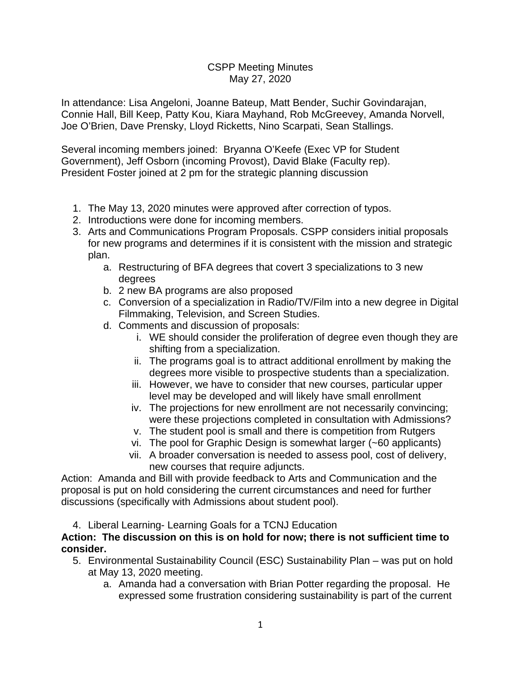## CSPP Meeting Minutes May 27, 2020

In attendance: Lisa Angeloni, Joanne Bateup, Matt Bender, Suchir Govindarajan, Connie Hall, Bill Keep, Patty Kou, Kiara Mayhand, Rob McGreevey, Amanda Norvell, Joe O'Brien, Dave Prensky, Lloyd Ricketts, Nino Scarpati, Sean Stallings.

Several incoming members joined: Bryanna O'Keefe (Exec VP for Student Government), Jeff Osborn (incoming Provost), David Blake (Faculty rep). President Foster joined at 2 pm for the strategic planning discussion

- 1. The May 13, 2020 minutes were approved after correction of typos.
- 2. Introductions were done for incoming members.
- 3. Arts and Communications Program Proposals. CSPP considers initial proposals for new programs and determines if it is consistent with the mission and strategic plan.
	- a. Restructuring of BFA degrees that covert 3 specializations to 3 new degrees
	- b. 2 new BA programs are also proposed
	- c. Conversion of a specialization in Radio/TV/Film into a new degree in Digital Filmmaking, Television, and Screen Studies.
	- d. Comments and discussion of proposals:
		- i. WE should consider the proliferation of degree even though they are shifting from a specialization.
		- ii. The programs goal is to attract additional enrollment by making the degrees more visible to prospective students than a specialization.
		- iii. However, we have to consider that new courses, particular upper level may be developed and will likely have small enrollment
		- iv. The projections for new enrollment are not necessarily convincing; were these projections completed in consultation with Admissions?
		- v. The student pool is small and there is competition from Rutgers
		- vi. The pool for Graphic Design is somewhat larger (~60 applicants)
		- vii. A broader conversation is needed to assess pool, cost of delivery, new courses that require adjuncts.

Action: Amanda and Bill with provide feedback to Arts and Communication and the proposal is put on hold considering the current circumstances and need for further discussions (specifically with Admissions about student pool).

4. Liberal Learning- Learning Goals for a TCNJ Education

## **Action: The discussion on this is on hold for now; there is not sufficient time to consider.**

- 5. Environmental Sustainability Council (ESC) Sustainability Plan was put on hold at May 13, 2020 meeting.
	- a. Amanda had a conversation with Brian Potter regarding the proposal. He expressed some frustration considering sustainability is part of the current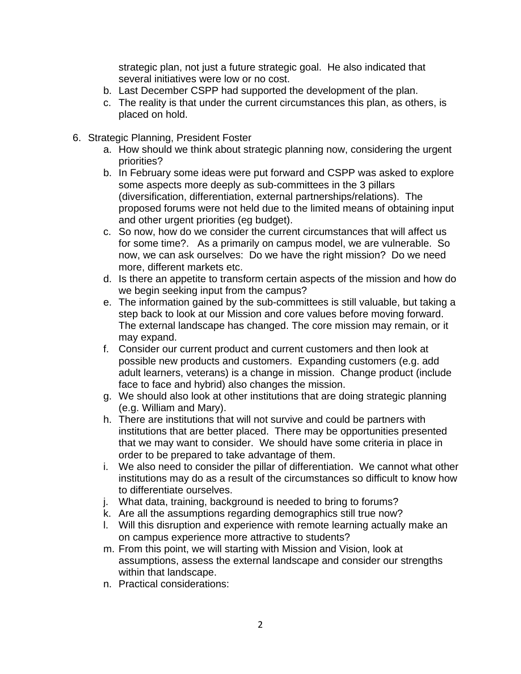strategic plan, not just a future strategic goal. He also indicated that several initiatives were low or no cost.

- b. Last December CSPP had supported the development of the plan.
- c. The reality is that under the current circumstances this plan, as others, is placed on hold.
- 6. Strategic Planning, President Foster
	- a. How should we think about strategic planning now, considering the urgent priorities?
	- b. In February some ideas were put forward and CSPP was asked to explore some aspects more deeply as sub-committees in the 3 pillars (diversification, differentiation, external partnerships/relations). The proposed forums were not held due to the limited means of obtaining input and other urgent priorities (eg budget).
	- c. So now, how do we consider the current circumstances that will affect us for some time?. As a primarily on campus model, we are vulnerable. So now, we can ask ourselves: Do we have the right mission? Do we need more, different markets etc.
	- d. Is there an appetite to transform certain aspects of the mission and how do we begin seeking input from the campus?
	- e. The information gained by the sub-committees is still valuable, but taking a step back to look at our Mission and core values before moving forward. The external landscape has changed. The core mission may remain, or it may expand.
	- f. Consider our current product and current customers and then look at possible new products and customers. Expanding customers (e.g. add adult learners, veterans) is a change in mission. Change product (include face to face and hybrid) also changes the mission.
	- g. We should also look at other institutions that are doing strategic planning (e.g. William and Mary).
	- h. There are institutions that will not survive and could be partners with institutions that are better placed. There may be opportunities presented that we may want to consider. We should have some criteria in place in order to be prepared to take advantage of them.
	- i. We also need to consider the pillar of differentiation. We cannot what other institutions may do as a result of the circumstances so difficult to know how to differentiate ourselves.
	- j. What data, training, background is needed to bring to forums?
	- k. Are all the assumptions regarding demographics still true now?
	- l. Will this disruption and experience with remote learning actually make an on campus experience more attractive to students?
	- m. From this point, we will starting with Mission and Vision, look at assumptions, assess the external landscape and consider our strengths within that landscape.
	- n. Practical considerations: